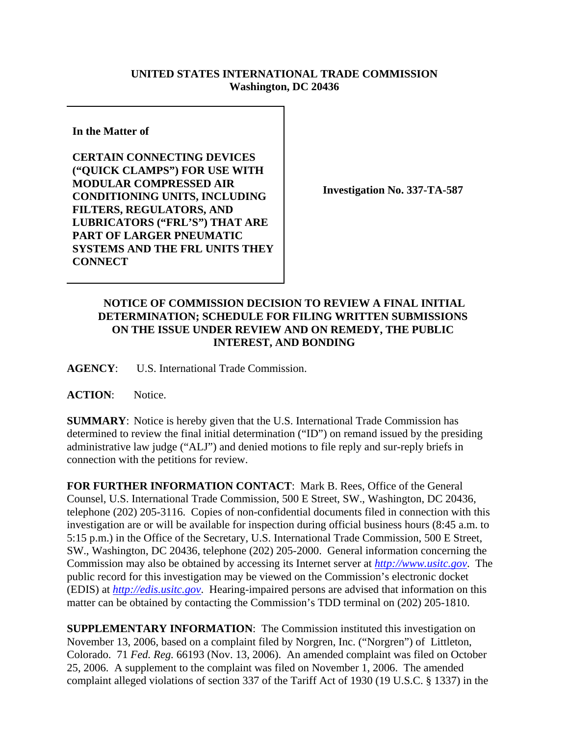## **UNITED STATES INTERNATIONAL TRADE COMMISSION Washington, DC 20436**

**In the Matter of** 

**CERTAIN CONNECTING DEVICES ("QUICK CLAMPS") FOR USE WITH MODULAR COMPRESSED AIR CONDITIONING UNITS, INCLUDING FILTERS, REGULATORS, AND LUBRICATORS ("FRL'S") THAT ARE PART OF LARGER PNEUMATIC SYSTEMS AND THE FRL UNITS THEY CONNECT**

**Investigation No. 337-TA-587**

## **NOTICE OF COMMISSION DECISION TO REVIEW A FINAL INITIAL DETERMINATION; SCHEDULE FOR FILING WRITTEN SUBMISSIONS ON THE ISSUE UNDER REVIEW AND ON REMEDY, THE PUBLIC INTEREST, AND BONDING**

**AGENCY**: U.S. International Trade Commission.

**ACTION**: Notice.

**SUMMARY**: Notice is hereby given that the U.S. International Trade Commission has determined to review the final initial determination ("ID") on remand issued by the presiding administrative law judge ("ALJ") and denied motions to file reply and sur-reply briefs in connection with the petitions for review.

**FOR FURTHER INFORMATION CONTACT**: Mark B. Rees, Office of the General Counsel, U.S. International Trade Commission, 500 E Street, SW., Washington, DC 20436, telephone (202) 205-3116. Copies of non-confidential documents filed in connection with this investigation are or will be available for inspection during official business hours (8:45 a.m. to 5:15 p.m.) in the Office of the Secretary, U.S. International Trade Commission, 500 E Street, SW., Washington, DC 20436, telephone (202) 205-2000. General information concerning the Commission may also be obtained by accessing its Internet server at *http://www.usitc.gov*. The public record for this investigation may be viewed on the Commission's electronic docket (EDIS) at *http://edis.usitc.gov*. Hearing-impaired persons are advised that information on this matter can be obtained by contacting the Commission's TDD terminal on (202) 205-1810.

**SUPPLEMENTARY INFORMATION:** The Commission instituted this investigation on November 13, 2006, based on a complaint filed by Norgren, Inc. ("Norgren") of Littleton, Colorado. 71 *Fed. Reg.* 66193 (Nov. 13, 2006). An amended complaint was filed on October 25, 2006. A supplement to the complaint was filed on November 1, 2006. The amended complaint alleged violations of section 337 of the Tariff Act of 1930 (19 U.S.C. § 1337) in the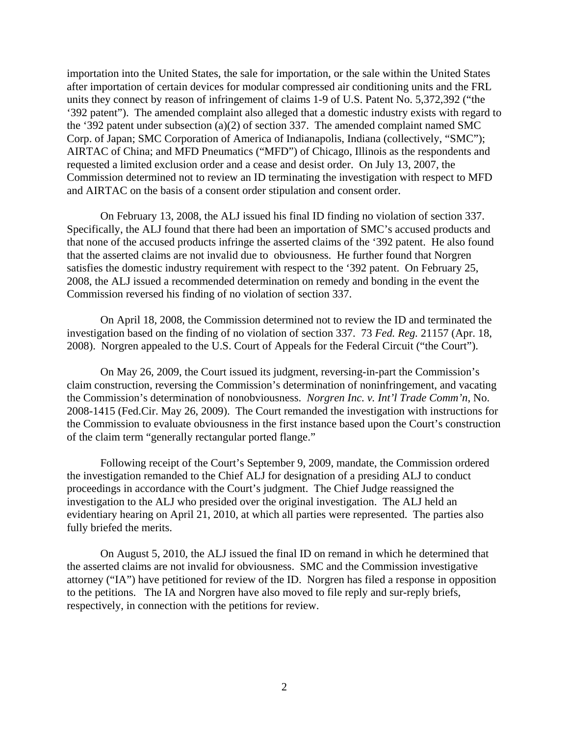importation into the United States, the sale for importation, or the sale within the United States after importation of certain devices for modular compressed air conditioning units and the FRL units they connect by reason of infringement of claims 1-9 of U.S. Patent No. 5,372,392 ("the '392 patent"). The amended complaint also alleged that a domestic industry exists with regard to the '392 patent under subsection (a)(2) of section 337. The amended complaint named SMC Corp. of Japan; SMC Corporation of America of Indianapolis, Indiana (collectively, "SMC"); AIRTAC of China; and MFD Pneumatics ("MFD") of Chicago, Illinois as the respondents and requested a limited exclusion order and a cease and desist order. On July 13, 2007, the Commission determined not to review an ID terminating the investigation with respect to MFD and AIRTAC on the basis of a consent order stipulation and consent order.

On February 13, 2008, the ALJ issued his final ID finding no violation of section 337. Specifically, the ALJ found that there had been an importation of SMC's accused products and that none of the accused products infringe the asserted claims of the '392 patent. He also found that the asserted claims are not invalid due to obviousness. He further found that Norgren satisfies the domestic industry requirement with respect to the '392 patent. On February 25, 2008, the ALJ issued a recommended determination on remedy and bonding in the event the Commission reversed his finding of no violation of section 337.

On April 18, 2008, the Commission determined not to review the ID and terminated the investigation based on the finding of no violation of section 337. 73 *Fed. Reg.* 21157 (Apr. 18, 2008). Norgren appealed to the U.S. Court of Appeals for the Federal Circuit ("the Court").

On May 26, 2009, the Court issued its judgment, reversing-in-part the Commission's claim construction, reversing the Commission's determination of noninfringement, and vacating the Commission's determination of nonobviousness. *Norgren Inc. v. Int'l Trade Comm'n*, No. 2008-1415 (Fed.Cir. May 26, 2009). The Court remanded the investigation with instructions for the Commission to evaluate obviousness in the first instance based upon the Court's construction of the claim term "generally rectangular ported flange."

Following receipt of the Court's September 9, 2009, mandate, the Commission ordered the investigation remanded to the Chief ALJ for designation of a presiding ALJ to conduct proceedings in accordance with the Court's judgment. The Chief Judge reassigned the investigation to the ALJ who presided over the original investigation. The ALJ held an evidentiary hearing on April 21, 2010, at which all parties were represented. The parties also fully briefed the merits.

On August 5, 2010, the ALJ issued the final ID on remand in which he determined that the asserted claims are not invalid for obviousness. SMC and the Commission investigative attorney ("IA") have petitioned for review of the ID. Norgren has filed a response in opposition to the petitions. The IA and Norgren have also moved to file reply and sur-reply briefs, respectively, in connection with the petitions for review.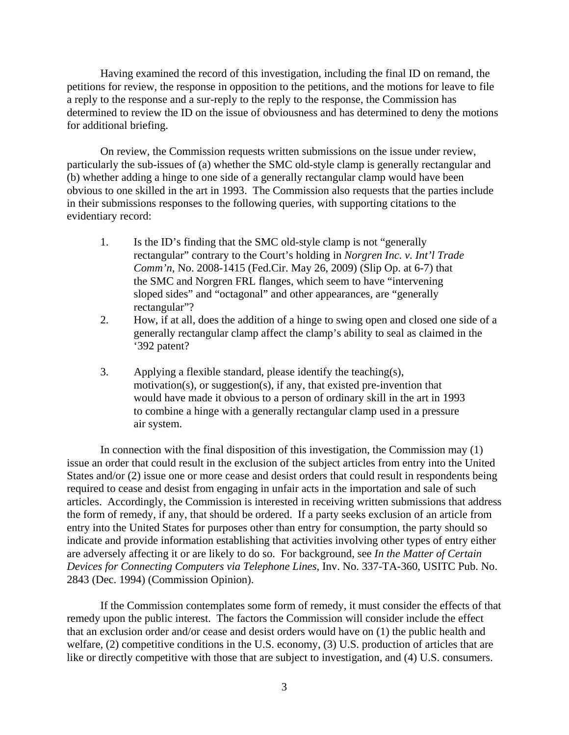Having examined the record of this investigation, including the final ID on remand, the petitions for review, the response in opposition to the petitions, and the motions for leave to file a reply to the response and a sur-reply to the reply to the response, the Commission has determined to review the ID on the issue of obviousness and has determined to deny the motions for additional briefing.

On review, the Commission requests written submissions on the issue under review, particularly the sub-issues of (a) whether the SMC old-style clamp is generally rectangular and (b) whether adding a hinge to one side of a generally rectangular clamp would have been obvious to one skilled in the art in 1993. The Commission also requests that the parties include in their submissions responses to the following queries, with supporting citations to the evidentiary record:

- 1. Is the ID's finding that the SMC old-style clamp is not "generally rectangular" contrary to the Court's holding in *Norgren Inc. v. Int'l Trade Comm'n*, No. 2008-1415 (Fed.Cir. May 26, 2009) (Slip Op. at 6-7) that the SMC and Norgren FRL flanges, which seem to have "intervening sloped sides" and "octagonal" and other appearances, are "generally rectangular"?
- 2. How, if at all, does the addition of a hinge to swing open and closed one side of a generally rectangular clamp affect the clamp's ability to seal as claimed in the '392 patent?
- 3. Applying a flexible standard, please identify the teaching(s), motivation(s), or suggestion(s), if any, that existed pre-invention that would have made it obvious to a person of ordinary skill in the art in 1993 to combine a hinge with a generally rectangular clamp used in a pressure air system.

In connection with the final disposition of this investigation, the Commission may (1) issue an order that could result in the exclusion of the subject articles from entry into the United States and/or (2) issue one or more cease and desist orders that could result in respondents being required to cease and desist from engaging in unfair acts in the importation and sale of such articles. Accordingly, the Commission is interested in receiving written submissions that address the form of remedy, if any, that should be ordered. If a party seeks exclusion of an article from entry into the United States for purposes other than entry for consumption, the party should so indicate and provide information establishing that activities involving other types of entry either are adversely affecting it or are likely to do so. For background, see *In the Matter of Certain Devices for Connecting Computers via Telephone Lines*, Inv. No. 337-TA-360, USITC Pub. No. 2843 (Dec. 1994) (Commission Opinion).

If the Commission contemplates some form of remedy, it must consider the effects of that remedy upon the public interest. The factors the Commission will consider include the effect that an exclusion order and/or cease and desist orders would have on (1) the public health and welfare, (2) competitive conditions in the U.S. economy, (3) U.S. production of articles that are like or directly competitive with those that are subject to investigation, and (4) U.S. consumers.